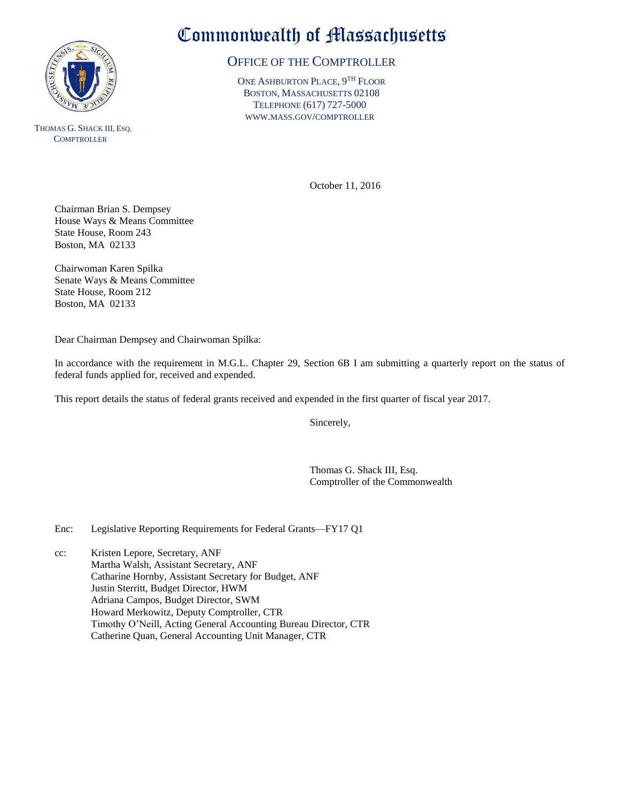

THOMAS G. SHACK III, ESQ. **COMPTROLLER** 

## Commonwealth of Massachusetts

## OFFICE OF THE COMPTROLLER

ONE ASHBURTON PLACE, 9<sup>TH</sup> FLOOR BOSTON, MASSACHUSETTS 02108 TELEPHONE (617) 727-5000 WWW.MASS.GOV/COMPTROLLER

October 11, 2016

Chairman Brian S. Dempsey House Ways & Means Committee State House, Room 243 Boston, MA 02133

Chairwoman Karen Spilka Senate Ways & Means Committee State House, Room 212 Boston, MA 02133

Dear Chairman Dempsey and Chairwoman Spilka:

In accordance with the requirement in M.G.L. Chapter 29, Section 6B I am submitting a quarterly report on the status of federal funds applied for, received and expended.

This report details the status of federal grants received and expended in the first quarter of fiscal year 2017.

Sincerely,

Thomas G. Shack III, Esq. Comptroller of the Commonwealth

Enc: Legislative Reporting Requirements for Federal Grants—FY17 Q1

cc: Kristen Lepore, Secretary, ANF Martha Walsh, Assistant Secretary, ANF Catharine Hornby, Assistant Secretary for Budget, ANF Justin Sterritt, Budget Director, HWM Adriana Campos, Budget Director, SWM Howard Merkowitz, Deputy Comptroller, CTR Timothy O'Neill, Acting General Accounting Bureau Director, CTR Catherine Quan, General Accounting Unit Manager, CTR